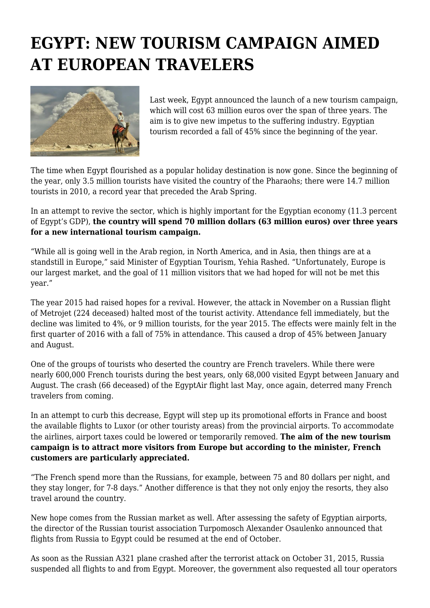## **EGYPT: NEW TOURISM CAMPAIGN AIMED AT EUROPEAN TRAVELERS**



Last week, Egypt announced the launch of a new tourism campaign, which will cost 63 million euros over the span of three years. The aim is to give new impetus to the suffering industry. Egyptian tourism recorded a fall of 45% since the beginning of the year.

The time when Egypt flourished as a popular holiday destination is now gone. Since the beginning of the year, only 3.5 million tourists have visited the country of the Pharaohs; there were 14.7 million tourists in 2010, a record year that preceded the Arab Spring.

In an attempt to revive the sector, which is highly important for the Egyptian economy (11.3 percent of Egypt's GDP), **the country will spend 70 million dollars (63 million euros) over three years for a new international tourism campaign.**

"While all is going well in the Arab region, in North America, and in Asia, then things are at a standstill in Europe," said Minister of Egyptian Tourism, Yehia Rashed. "Unfortunately, Europe is our largest market, and the goal of 11 million visitors that we had hoped for will not be met this year."

The year 2015 had raised hopes for a revival. However, the attack in November on a Russian flight of Metrojet (224 deceased) halted most of the tourist activity. Attendance fell immediately, but the decline was limited to 4%, or 9 million tourists, for the year 2015. The effects were mainly felt in the first quarter of 2016 with a fall of 75% in attendance. This caused a drop of 45% between January and August.

One of the groups of tourists who deserted the country are French travelers. While there were nearly 600,000 French tourists during the best years, only 68,000 visited Egypt between January and August. The crash (66 deceased) of the EgyptAir flight last May, once again, deterred many French travelers from coming.

In an attempt to curb this decrease, Egypt will step up its promotional efforts in France and boost the available flights to Luxor (or other touristy areas) from the provincial airports. To accommodate the airlines, airport taxes could be lowered or temporarily removed. **The aim of the new tourism campaign is to attract more visitors from Europe but according to the minister, French customers are particularly appreciated.**

"The French spend more than the Russians, for example, between 75 and 80 dollars per night, and they stay longer, for 7-8 days." Another difference is that they not only enjoy the resorts, they also travel around the country.

New hope comes from the Russian market as well. After assessing the safety of Egyptian airports, the director of the Russian tourist association Turpomosch Alexander Osaulenko announced that flights from Russia to Egypt could be resumed at the end of October.

As soon as the Russian A321 plane crashed after the terrorist attack on October 31, 2015, Russia suspended all flights to and from Egypt. Moreover, the government also requested all tour operators